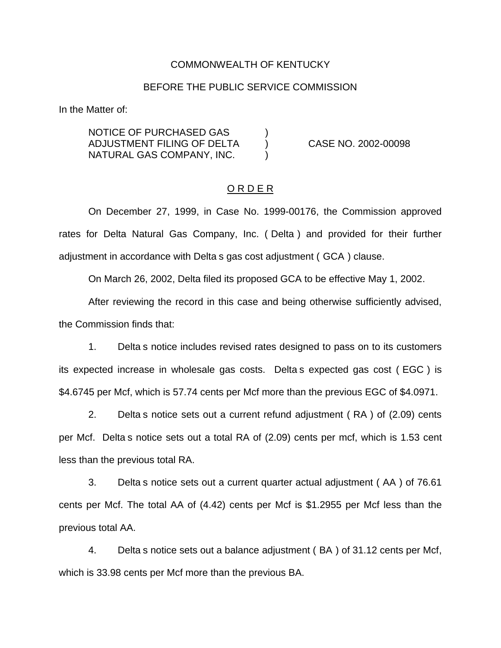### COMMONWEALTH OF KENTUCKY

### BEFORE THE PUBLIC SERVICE COMMISSION

In the Matter of:

NOTICE OF PURCHASED GAS ) ADJUSTMENT FILING OF DELTA ) CASE NO. 2002-00098 NATURAL GAS COMPANY, INC.

## O R D E R

On December 27, 1999, in Case No. 1999-00176, the Commission approved rates for Delta Natural Gas Company, Inc. ( Delta ) and provided for their further adjustment in accordance with Delta s gas cost adjustment ( GCA ) clause.

On March 26, 2002, Delta filed its proposed GCA to be effective May 1, 2002.

After reviewing the record in this case and being otherwise sufficiently advised, the Commission finds that:

1. Delta s notice includes revised rates designed to pass on to its customers its expected increase in wholesale gas costs. Delta s expected gas cost ( EGC ) is \$4.6745 per Mcf, which is 57.74 cents per Mcf more than the previous EGC of \$4.0971.

2. Delta s notice sets out a current refund adjustment ( RA ) of (2.09) cents per Mcf. Delta s notice sets out a total RA of (2.09) cents per mcf, which is 1.53 cent less than the previous total RA.

3. Delta s notice sets out a current quarter actual adjustment ( AA ) of 76.61 cents per Mcf. The total AA of (4.42) cents per Mcf is \$1.2955 per Mcf less than the previous total AA.

4. Delta s notice sets out a balance adjustment ( BA ) of 31.12 cents per Mcf, which is 33.98 cents per Mcf more than the previous BA.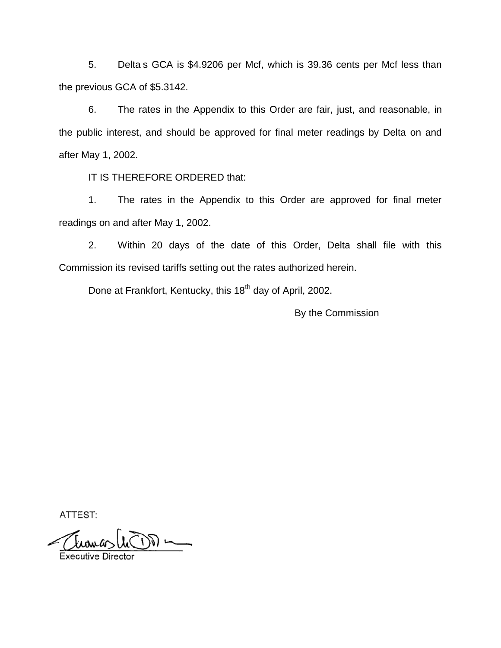5. Delta s GCA is \$4.9206 per Mcf, which is 39.36 cents per Mcf less than the previous GCA of \$5.3142.

6. The rates in the Appendix to this Order are fair, just, and reasonable, in the public interest, and should be approved for final meter readings by Delta on and after May 1, 2002.

IT IS THEREFORE ORDERED that:

1. The rates in the Appendix to this Order are approved for final meter readings on and after May 1, 2002.

2. Within 20 days of the date of this Order, Delta shall file with this Commission its revised tariffs setting out the rates authorized herein.

Done at Frankfort, Kentucky, this 18<sup>th</sup> day of April, 2002.

By the Commission

ATTEST: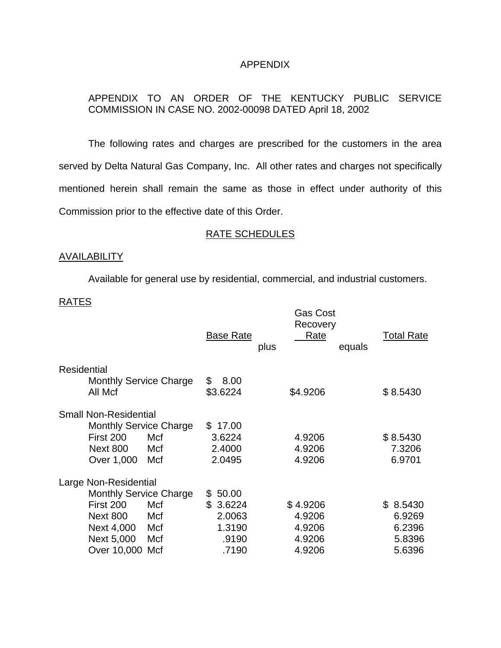# APPENDIX

# APPENDIX TO AN ORDER OF THE KENTUCKY PUBLIC SERVICE COMMISSION IN CASE NO. 2002-00098 DATED April 18, 2002

The following rates and charges are prescribed for the customers in the area served by Delta Natural Gas Company, Inc. All other rates and charges not specifically mentioned herein shall remain the same as those in effect under authority of this Commission prior to the effective date of this Order.

# RATE SCHEDULES

## AVAILABILITY

Available for general use by residential, commercial, and industrial customers.

### RATES

|                                          | <b>Base Rate</b><br>plus | Recovery<br>Rate<br>equals | <b>Total Rate</b> |
|------------------------------------------|--------------------------|----------------------------|-------------------|
| Residential                              |                          |                            |                   |
| <b>Monthly Service Charge</b><br>All Mcf | 8.00<br>\$<br>\$3.6224   | \$4.9206                   | \$8.5430          |
| <b>Small Non-Residential</b>             |                          |                            |                   |
| <b>Monthly Service Charge</b>            | \$17.00                  |                            |                   |
| First 200<br>Mcf                         | 3.6224                   | 4.9206                     | \$8.5430          |
| <b>Next 800</b><br>Mcf                   | 2.4000                   | 4.9206                     | 7.3206            |
| Over 1,000<br>Mcf                        | 2.0495                   | 4.9206                     | 6.9701            |
| Large Non-Residential                    |                          |                            |                   |
| <b>Monthly Service Charge</b>            | 50.00<br>S.              |                            |                   |
| First 200<br>Mcf                         | \$<br>3.6224             | \$4.9206                   | 8.5430<br>\$.     |
| <b>Next 800</b><br>Mcf                   | 2.0063                   | 4.9206                     | 6.9269            |
| Next 4,000<br>Mcf                        | 1.3190                   | 4.9206                     | 6.2396            |
| Next 5,000<br>Mcf                        | .9190                    | 4.9206                     | 5.8396            |
| Over 10,000 Mcf                          | .7190                    | 4.9206                     | 5.6396            |